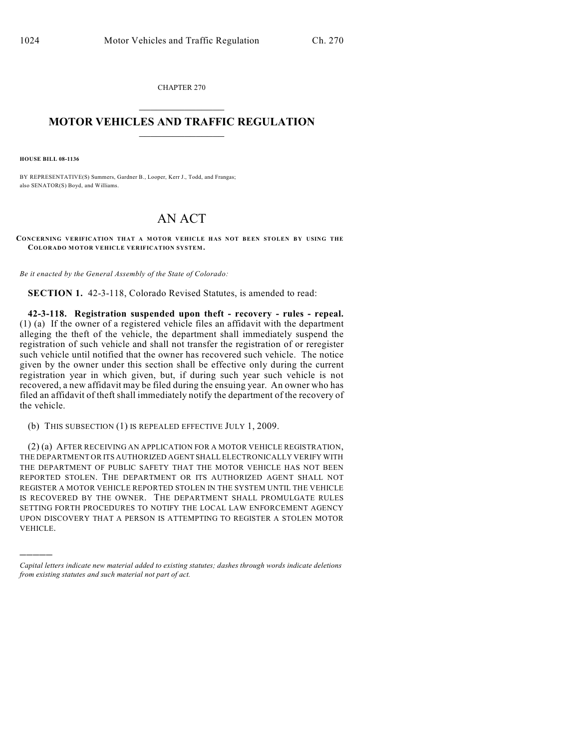CHAPTER 270  $\overline{\phantom{a}}$  . The set of the set of the set of the set of the set of the set of the set of the set of the set of the set of the set of the set of the set of the set of the set of the set of the set of the set of the set o

## **MOTOR VEHICLES AND TRAFFIC REGULATION**  $\frac{1}{2}$  ,  $\frac{1}{2}$  ,  $\frac{1}{2}$  ,  $\frac{1}{2}$  ,  $\frac{1}{2}$  ,  $\frac{1}{2}$  ,  $\frac{1}{2}$  ,  $\frac{1}{2}$

**HOUSE BILL 08-1136**

)))))

BY REPRESENTATIVE(S) Summers, Gardner B., Looper, Kerr J., Todd, and Frangas; also SENATOR(S) Boyd, and Williams.

## AN ACT

**CONCERNING VERIFICATION THAT A MOTOR VEHICLE HAS NOT BEEN STOLEN BY USING THE COLORADO MOTOR VEHICLE VERIFICATION SYSTEM.**

*Be it enacted by the General Assembly of the State of Colorado:*

**SECTION 1.** 42-3-118, Colorado Revised Statutes, is amended to read:

**42-3-118. Registration suspended upon theft - recovery - rules - repeal.** (1) (a) If the owner of a registered vehicle files an affidavit with the department alleging the theft of the vehicle, the department shall immediately suspend the registration of such vehicle and shall not transfer the registration of or reregister such vehicle until notified that the owner has recovered such vehicle. The notice given by the owner under this section shall be effective only during the current registration year in which given, but, if during such year such vehicle is not recovered, a new affidavit may be filed during the ensuing year. An owner who has filed an affidavit of theft shall immediately notify the department of the recovery of the vehicle.

(b) THIS SUBSECTION (1) IS REPEALED EFFECTIVE JULY 1, 2009.

(2) (a) AFTER RECEIVING AN APPLICATION FOR A MOTOR VEHICLE REGISTRATION, THE DEPARTMENT OR ITS AUTHORIZED AGENT SHALL ELECTRONICALLY VERIFY WITH THE DEPARTMENT OF PUBLIC SAFETY THAT THE MOTOR VEHICLE HAS NOT BEEN REPORTED STOLEN. THE DEPARTMENT OR ITS AUTHORIZED AGENT SHALL NOT REGISTER A MOTOR VEHICLE REPORTED STOLEN IN THE SYSTEM UNTIL THE VEHICLE IS RECOVERED BY THE OWNER. THE DEPARTMENT SHALL PROMULGATE RULES SETTING FORTH PROCEDURES TO NOTIFY THE LOCAL LAW ENFORCEMENT AGENCY UPON DISCOVERY THAT A PERSON IS ATTEMPTING TO REGISTER A STOLEN MOTOR VEHICLE.

*Capital letters indicate new material added to existing statutes; dashes through words indicate deletions from existing statutes and such material not part of act.*